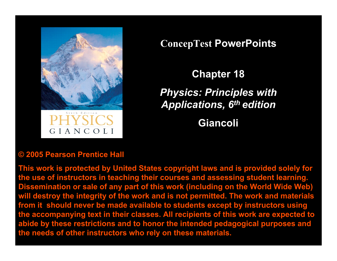

GIANCOLI

**ConcepTest PowerPoints**

**Chapter 18** *Physics: Principles with Applications, 6th edition*

**Giancoli**

#### **© 2005 Pearson Prentice Hall**

**This work is protected by United States copyright laws and is provided solely for the use of instructors in teaching their courses and assessing student learning. Dissemination or sale of any part of this work (including on the World Wide Web) will destroy the integrity of the work and is not permitted. The work and materials from it should never be made available to students except by instructors using the accompanying text in their classes. All recipients of this work are expected to abide by these restrictions and to honor the intended pedagogical purposes and the needs of other instructors who rely on these materials.**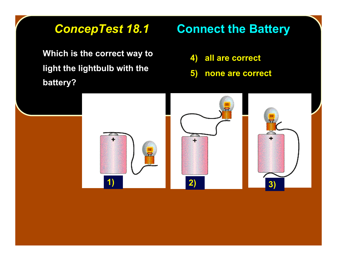**Which is the correct way to light the lightbulb with the light the lightbulb with the battery? battery?**

# **ConcepTest 18.1 Connect the Battery**

- **4) all are correct**
- **5) none are correct**

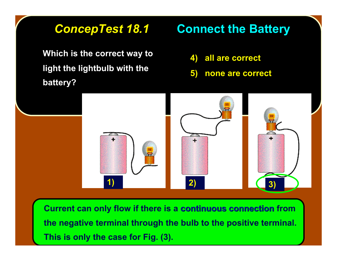**Which is the correct way to light the lightbulb with the light the lightbulb with the battery? battery?**

## **ConcepTest 18.1 Connect the Battery**

- **4) all are correct**
- **5) none are correct**



**Current can only flow if there is a continuous connection from the negative terminal through the bulb to the positive terminal. This is only the case for Fig. (3).**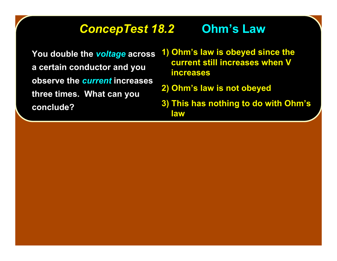## *ConcepTest 18.2 ConcepTest 18.2* **Ohm's Law**

You double the *voltage* across **a certain conductor and you a certain conductor and you observe the observe the** *current current* **increases increases three times. What can you three times. What can you conclude? conclude?**

- **1) Ohm's law is obeyed since the current still increases when V current still increases when V increases increases**
- **2) Ohm's law is not obeyed**
- **3) This has nothing to do with Ohm's law**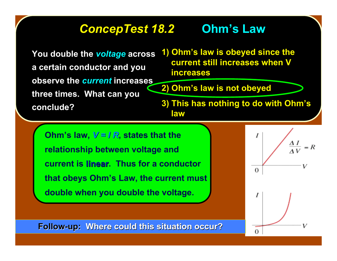## *ConcepTest 18.2 ConcepTest 18.2* **Ohm's Law**

You double the *voltage* across **a certain conductor and you a certain conductor and you observe the** *current* **increases three times. What can you three times. What can you conclude? conclude?**

**1) Ohm's law is obeyed since the current still increases when V current still increases when V increases increases**

**2) Ohm's law is not obeyed** 

**3) This has nothing to do with Ohm's law**

**Ohm's law,**  $V = I R$ **, states that the relationship between voltage and current is linear. Thus for a conductor that obeys Ohm's Law, the current must double when you double the voltage.**



**Follow-up: Where could this situation occur?**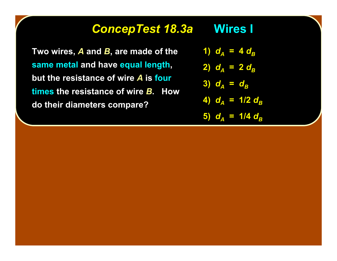#### *ConcepTest 18.3a ConcepTest 18.3a* **Wires I Wires I**

**Two wires, A** and *B***, are made of the same metal same metal and have have equal length equal length, but the resistance of wire A** is four **times the resistance of wire the resistance of wire** *B***. How . How do their diameters compare? do their compare?**

- 1)  $d_A = 4 d_B$
- **2)**  $d_A = 2 d_B$

$$
3) d_A = d_B
$$

- **4)**  $d_A = 1/2 d_B$
- **5)**  $d_A = 1/4 d_B$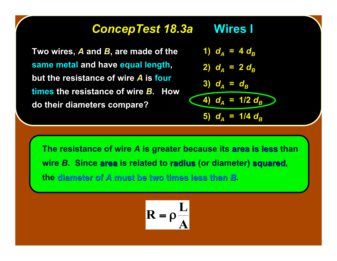#### *ConcepTest 18.3a ConcepTest 18.3a* **Wires I Wires I**

**Two wires, A and B, are made of the same metal same metal and have have equal length equal length, but the resistance of wire A** is four **times the resistance of wire the resistance of wire** *B***. How . How do their diameters compare? do their compare?**

1) 
$$
d_A = 4 d_B
$$
  
\n2)  $d_A = 2 d_B$   
\n3)  $d_A = d_B$   
\n4)  $d_A = 1/2 d_B$   
\n5)  $d_A = 1/4 d_B$ 

**The resistance of wire** *A* **is greater because its area is less area is less than wire** *B***. Since area is related to radius (or diameter) squared squared, the diameter of diameter of** *A* **must be two times less than must be two times less than** *B***.**

$$
R = \rho \frac{L}{A}
$$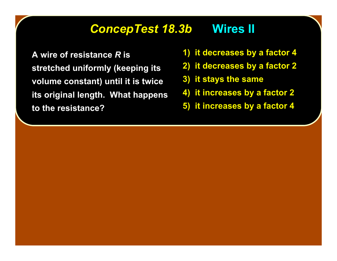#### *ConcepTest 18.3b ConcepTest 18.3b* **Wires II Wires II**

**A wire of resistance A wire of resistance** *R* **is stretched uniformly (keeping its volume constant) until it is twice volume constant) until it is twice its original length. What happens its original length. What happens to the resistance? to the resistance?**

- **1) it decreases by a factor 4**
- **2) it decreases by a factor 2**
- **3) it stays the same**
- **4) it increases 4) it increases by a factor 2 by a factor 2**
- **5) it increases 5) it increases by a factor 4 by a factor 4**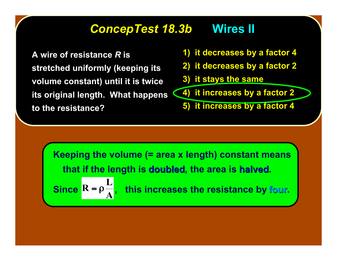### *ConcepTest 18.3b ConcepTest 18.3b* **Wires II Wires II**

**A wire of resistance A wire of resistance** *R* **is stretched uniformly (keeping its volume constant) until it is twice volume constant) until it is twice its original length. What happens**  $\left(4\right)$  **it increases by a factor 2 to the resistance? to the resistance?**

- **1) it decreases by a factor 4**
- **2) it decreases by a factor 2**
- **3) it stays the same**

**5) it increases 5) it increases by a factor 4 by a factor 4**

**Keeping the volume (= area x length) constant means that if the length is doubled, the area is halved. this increases the resistance by four. A**  $\mathbf{Since } \mathbf{R} = \mathbf{p}$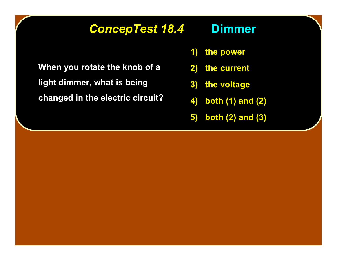## *ConcepTest 18.4 ConcepTest 18.4* **Dimmer**

**When you rotate the knob of a light dimmer, what is being light dimmer, what is being**

**changed in the electric circuit? changed in the electric circuit?**

- **1) the power**
- **2) the current**
- **3) the voltage**
- **4) both (1) and (2)**
- **5) both (2) and (3)**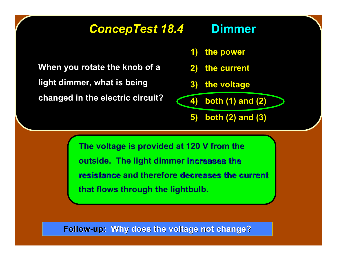#### *ConcepTest 18.4 ConcepTest 18.4* **Dimmer**

**When you rotate the knob of a light dimmer, what is being light dimmer, what is being changed in the electric circuit? changed in the electric circuit?**

- **1) the power**
- **2) the current**
- **3) the voltage**

**4) both (1) and (2)**

**5) both (2) and (3)**

**The voltage is provided at 120 V from the outside. The light dimmer increases the increases the resistance and therefore decreases the current that flows through the lightbulb.**

**Follow-up: Why does the voltage not change?**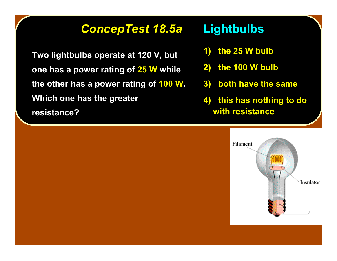#### *ConcepTest 18.5a ConcepTest 18.5a* **Lightbulbs Lightbulbs**

**Two lightbulbs operate at 120 V, but one has a power rating of 25 W while** the other has a power rating of **100 W. Which one has the greater Which one has the greater resistance? resistance?**

- **1) the 25 W bulb**
- **2) the 100 W bulb**
- **3) both have the same**
- **4) this has nothing to do with resistance**

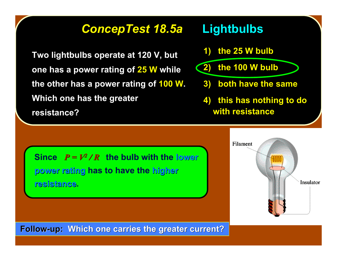#### *ConcepTest 18.5a ConcepTest 18.5a* **Lightbulbs Lightbulbs**

**Two lightbulbs operate at 120 V, but one has a power rating of 25 W while** the other has a power rating of 100 W. **Which one has the greater Which one has the greater resistance? resistance?**

- **1) the 25 W bulb**
- **2) the 100 W bulb**
	- **3) both have the same**
	- **4) this has nothing to do with resistance**

**Since**  $P = V^2 / R$  **the bulb with the lower power rating power rating has to have the higher resistance resistance.**



**Follow-up: Which one carries the greater current?**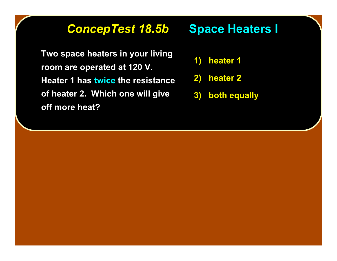### **ConcepTest 18.5b Space Heaters I**

**Two space heaters in your living Two space heaters in room are operated at 120 V. room are operated at 120 V. Heater 1 has twice the resistance of heater 2. Which one will give of heater 2. Which one will give off more heat? off more heat?**

- **1) heater 1**
- **2) heater 2**
- **3) both equally**